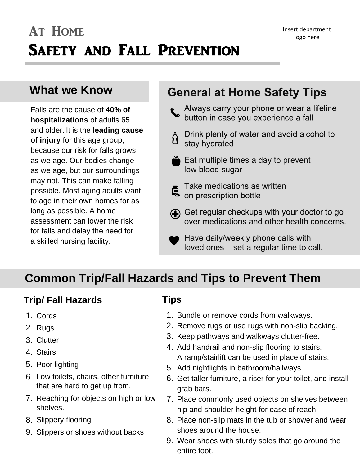## **What we Know**

Falls are the cause of **40% of hospitalizations** of adults 65 and older. It is the **leading cause of injury** for this age group, because our risk for falls grows as we age. Our bodies change as we age, but our surroundings may not. This can make falling possible. Most aging adults want to age in their own homes for as long as possible. A home assessment can lower the risk for falls and delay the need for a skilled nursing facility.

## **General at Home Safety Tips**

- Always carry your phone or wear a lifeline<br>button in case you experience a fall
- Drink plenty of water and avoid alcohol to 8 stay hydrated
- $\bullet$  Eat multiple times a day to prevent low blood sugar
- Take medications as written on prescription bottle
- Get regular checkups with your doctor to go over medications and other health concerns.
	- Have daily/weekly phone calls with loved ones - set a regular time to call.

## **Common Trip/Fall Hazards and Tips to Prevent Them**

### **Trip/ Fall Hazards**

- 1. Cords
- 2. Rugs
- 3. Clutter
- 4. Stairs
- 5. Poor lighting
- 6. Low toilets, chairs, other furniture that are hard to get up from.
- 7. Reaching for objects on high or low shelves.
- 8. Slippery flooring
- 9. Slippers or shoes without backs

#### **Tips**

- 1. Bundle or remove cords from walkways.
- 2. Remove rugs or use rugs with non-slip backing.
- 3. Keep pathways and walkways clutter-free.
- 4. Add handrail and non-slip flooring to stairs. A ramp/stairlift can be used in place of stairs.
- 5. Add nightlights in bathroom/hallways.
- 6. Get taller furniture, a riser for your toilet, and install grab bars.
- 7. Place commonly used objects on shelves between hip and shoulder height for ease of reach.
- 8. Place non-slip mats in the tub or shower and wear shoes around the house.
- 9. Wear shoes with sturdy soles that go around the entire foot.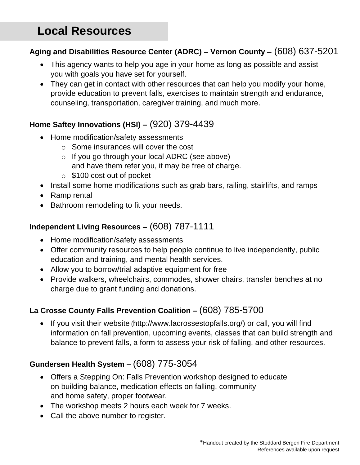# **Local Resources**

# **Aging and Disabilities Resource Center (ADRC) – Vernon County –** (608) 637-5201

- This agency wants to help you age in your home as long as possible and assist<br>vou with goals you have set for yourself you with goals you have set for yourself.
- They can get in contact with other resources that can help you modify your home, provide education to prevent falls, exercises to maintain strength and endurance, counseling, transportation, caregiver training, and much more.

# **Home Saftey Innovations (HSI) –** (920) 379-4439

- Home modification/safety assessments
	- o Some insurances will cover the cost
	- o If you go through your local ADRC (see above) and have them refer you, it may be free of charge.
	- o \$100 cost out of pocket
- Install some home modifications such as grab bars, railing, stairlifts, and ramps
- Ramp rental
- Bathroom remodeling to fit your needs.

# **Independent Living Resources –** (608) 787-1111

- Home modification/safety assessments
- Offer community resources to help people continue to live independently, public education and training, and mental health services.
- Allow you to borrow/trial adaptive equipment for free
- Allow you to borrow/trial adaptive equipment for free<br>• Provide walkers, wheelchairs, commodes, shower chairs, transfer benches at no charge due to grant funding and donations.

# **La Crosse County Falls Prevention Coalition –** (608) 785-5700

 • If you visit their website (http://www.lacrossestopfalls.org/) or call, you will find information on fall prevention, upcoming events, classes that can build strength and balance to prevent falls, a form to assess your risk of falling, and other resources.

# **Gundersen Health System –** (608) 775-3054

- Offers a Stepping On: Falls Prevention workshop designed to educate on building balance, medication effects on falling, community on building balance, medication effects on falling, community and home safety, proper footwear.
- The workshop meets 2 hours each week for 7 weeks.
- Call the above number to register.